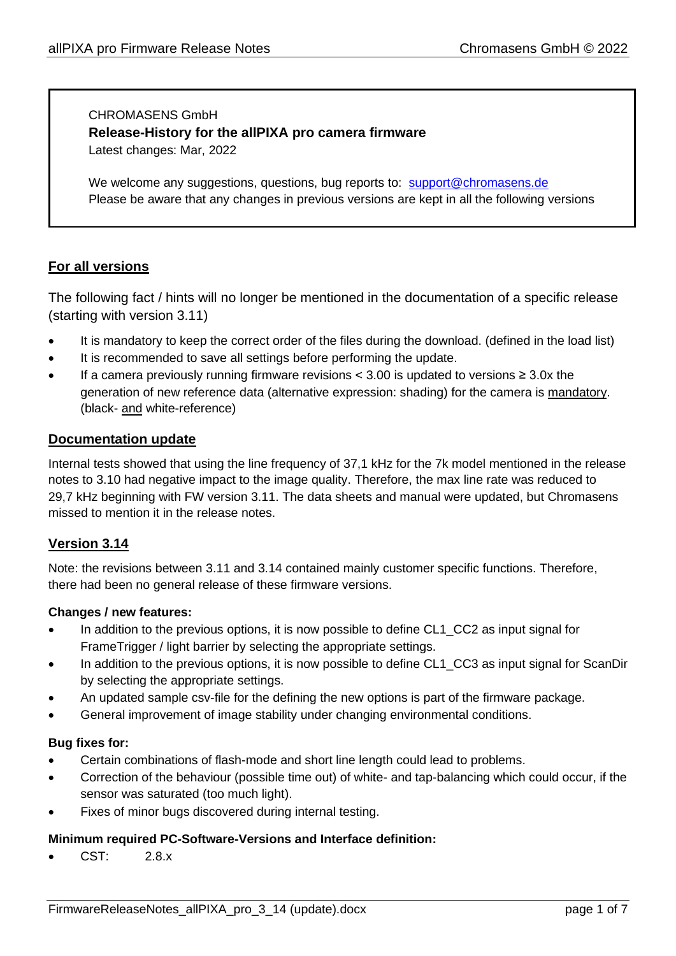# CHROMASENS GmbH **Release-History for the allPIXA pro camera firmware** Latest changes: Mar, 2022

We welcome any suggestions, questions, bug reports to: [support@chromasens.de](mailto:support@chromasens.de) Please be aware that any changes in previous versions are kept in all the following versions

# **For all versions**

The following fact / hints will no longer be mentioned in the documentation of a specific release (starting with version 3.11)

- It is mandatory to keep the correct order of the files during the download. (defined in the load list)
- It is recommended to save all settings before performing the update.
- If a camera previously running firmware revisions  $\lt$  3.00 is updated to versions ≥ 3.0x the generation of new reference data (alternative expression: shading) for the camera is mandatory. (black- and white-reference)

### **Documentation update**

Internal tests showed that using the line frequency of 37,1 kHz for the 7k model mentioned in the release notes to 3.10 had negative impact to the image quality. Therefore, the max line rate was reduced to 29,7 kHz beginning with FW version 3.11. The data sheets and manual were updated, but Chromasens missed to mention it in the release notes.

# **Version 3.14**

Note: the revisions between 3.11 and 3.14 contained mainly customer specific functions. Therefore, there had been no general release of these firmware versions.

### **Changes / new features:**

- In addition to the previous options, it is now possible to define CL1 CC2 as input signal for FrameTrigger / light barrier by selecting the appropriate settings.
- In addition to the previous options, it is now possible to define CL1\_CC3 as input signal for ScanDir by selecting the appropriate settings.
- An updated sample csv-file for the defining the new options is part of the firmware package.
- General improvement of image stability under changing environmental conditions.

### **Bug fixes for:**

- Certain combinations of flash-mode and short line length could lead to problems.
- Correction of the behaviour (possible time out) of white- and tap-balancing which could occur, if the sensor was saturated (too much light).
- Fixes of minor bugs discovered during internal testing.

# **Minimum required PC-Software-Versions and Interface definition:**

• CST: 2.8.x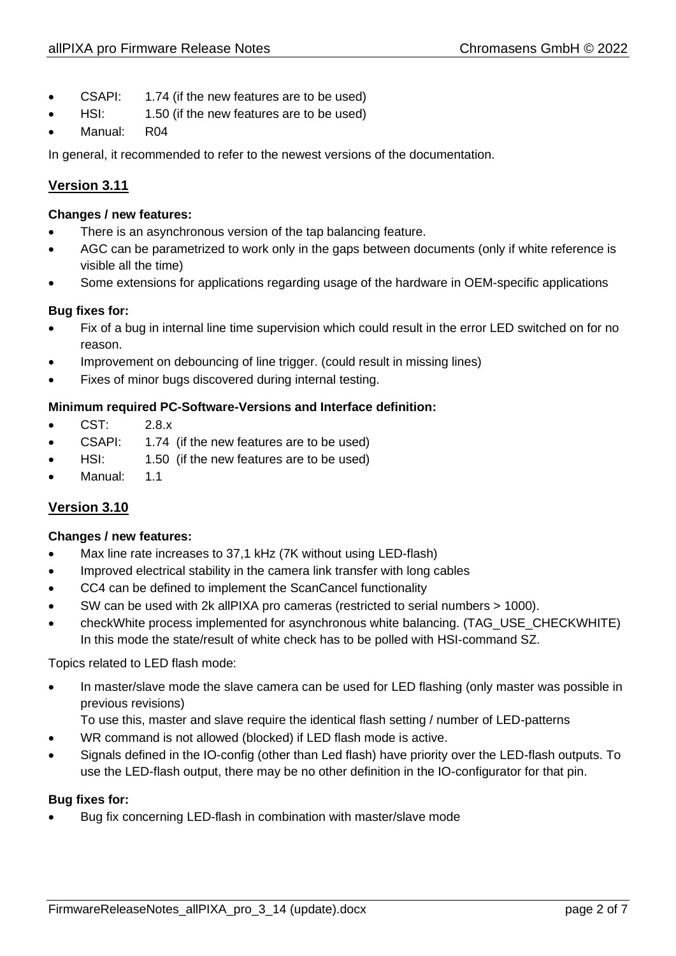- CSAPI: 1.74 (if the new features are to be used)
- HSI: 1.50 (if the new features are to be used)
- Manual: R04

In general, it recommended to refer to the newest versions of the documentation.

# **Version 3.11**

### **Changes / new features:**

- There is an asynchronous version of the tap balancing feature.
- AGC can be parametrized to work only in the gaps between documents (only if white reference is visible all the time)
- Some extensions for applications regarding usage of the hardware in OEM-specific applications

# **Bug fixes for:**

- Fix of a bug in internal line time supervision which could result in the error LED switched on for no reason.
- Improvement on debouncing of line trigger. (could result in missing lines)
- Fixes of minor bugs discovered during internal testing.

# **Minimum required PC-Software-Versions and Interface definition:**

- CST: 2.8.x
- CSAPI: 1.74 (if the new features are to be used)
- HSI: 1.50 (if the new features are to be used)
- Manual: 1.1

# **Version 3.10**

### **Changes / new features:**

- Max line rate increases to 37,1 kHz (7K without using LED-flash)
- Improved electrical stability in the camera link transfer with long cables
- CC4 can be defined to implement the ScanCancel functionality
- SW can be used with 2k allPIXA pro cameras (restricted to serial numbers > 1000).
- checkWhite process implemented for asynchronous white balancing. (TAG\_USE\_CHECKWHITE) In this mode the state/result of white check has to be polled with HSI-command SZ.

Topics related to LED flash mode:

- In master/slave mode the slave camera can be used for LED flashing (only master was possible in previous revisions)
	- To use this, master and slave require the identical flash setting / number of LED-patterns
- WR command is not allowed (blocked) if LED flash mode is active.
- Signals defined in the IO-config (other than Led flash) have priority over the LED-flash outputs. To use the LED-flash output, there may be no other definition in the IO-configurator for that pin.

### **Bug fixes for:**

• Bug fix concerning LED-flash in combination with master/slave mode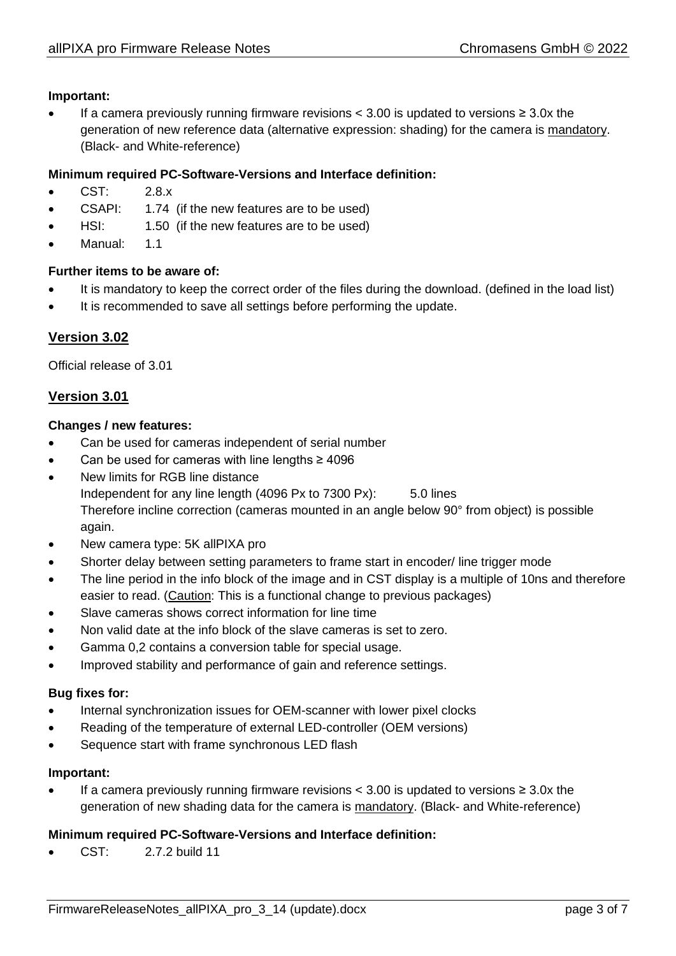### **Important:**

If a camera previously running firmware revisions  $<$  3.00 is updated to versions  $\geq$  3.0x the generation of new reference data (alternative expression: shading) for the camera is mandatory. (Black- and White-reference)

### **Minimum required PC-Software-Versions and Interface definition:**

- CST: 2.8.x
- CSAPI: 1.74 (if the new features are to be used)
- HSI: 1.50 (if the new features are to be used)
- Manual: 1.1

### **Further items to be aware of:**

- It is mandatory to keep the correct order of the files during the download. (defined in the load list)
- It is recommended to save all settings before performing the update.

# **Version 3.02**

Official release of 3.01

# **Version 3.01**

### **Changes / new features:**

- Can be used for cameras independent of serial number
- Can be used for cameras with line lengths ≥ 4096
- New limits for RGB line distance Independent for any line length (4096 Px to 7300 Px): 5.0 lines Therefore incline correction (cameras mounted in an angle below 90° from object) is possible again.
- New camera type: 5K allPIXA pro
- Shorter delay between setting parameters to frame start in encoder/ line trigger mode
- The line period in the info block of the image and in CST display is a multiple of 10ns and therefore easier to read. (Caution: This is a functional change to previous packages)
- Slave cameras shows correct information for line time
- Non valid date at the info block of the slave cameras is set to zero.
- Gamma 0,2 contains a conversion table for special usage.
- Improved stability and performance of gain and reference settings.

### **Bug fixes for:**

- Internal synchronization issues for OEM-scanner with lower pixel clocks
- Reading of the temperature of external LED-controller (OEM versions)
- Sequence start with frame synchronous LED flash

### **Important:**

If a camera previously running firmware revisions  $\leq$  3.00 is updated to versions ≥ 3.0x the generation of new shading data for the camera is mandatory. (Black- and White-reference)

### **Minimum required PC-Software-Versions and Interface definition:**

• CST: 2.7.2 build 11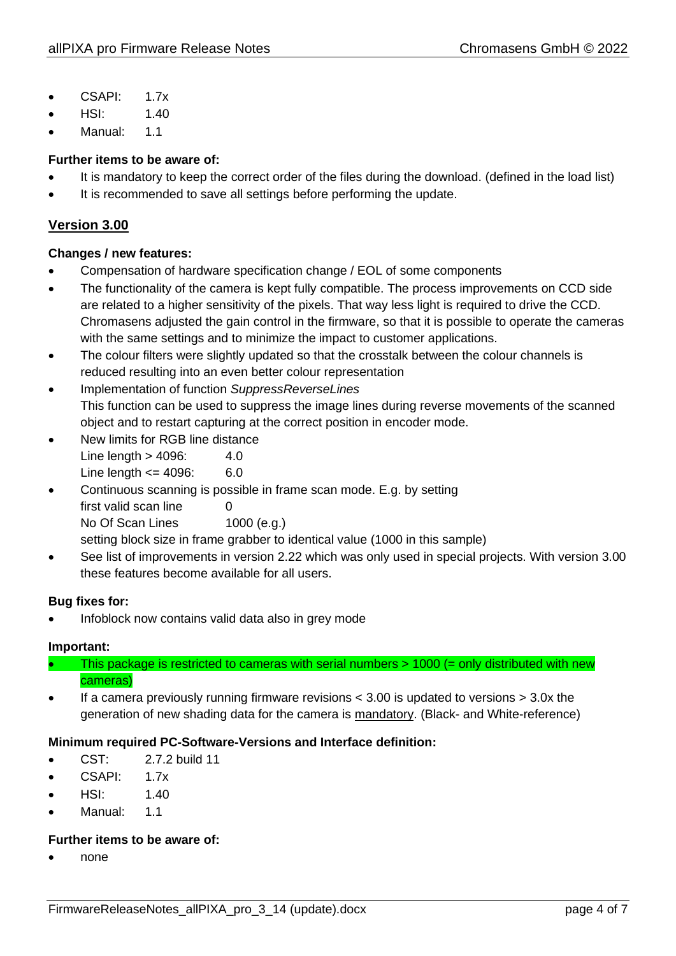- CSAPI: 1.7x
- HSI: 1.40
- Manual: 1.1

# **Further items to be aware of:**

- It is mandatory to keep the correct order of the files during the download. (defined in the load list)
- It is recommended to save all settings before performing the update.

# **Version 3.00**

### **Changes / new features:**

- Compensation of hardware specification change / EOL of some components
- The functionality of the camera is kept fully compatible. The process improvements on CCD side are related to a higher sensitivity of the pixels. That way less light is required to drive the CCD. Chromasens adjusted the gain control in the firmware, so that it is possible to operate the cameras with the same settings and to minimize the impact to customer applications.
- The colour filters were slightly updated so that the crosstalk between the colour channels is reduced resulting into an even better colour representation
- Implementation of function *SuppressReverseLines* This function can be used to suppress the image lines during reverse movements of the scanned object and to restart capturing at the correct position in encoder mode.
- New limits for RGB line distance Line length  $>$  4096: 4.0 Line length  $\leq$  4096: 6.0
- Continuous scanning is possible in frame scan mode. E.g. by setting first valid scan line 0 No Of Scan Lines 1000 (e.g.) setting block size in frame grabber to identical value (1000 in this sample)
- See list of improvements in version 2.22 which was only used in special projects. With version 3.00 these features become available for all users.

# **Bug fixes for:**

• Infoblock now contains valid data also in grey mode

# **Important:**

• This package is restricted to cameras with serial numbers > 1000 (= only distributed with new cameras)

• If a camera previously running firmware revisions < 3.00 is updated to versions > 3.0x the generation of new shading data for the camera is mandatory. (Black- and White-reference)

# **Minimum required PC-Software-Versions and Interface definition:**

- $\bullet$  CST $\cdot$  2.7.2 build 11
- CSAPI: 1.7x
- $HSI: 1.40$
- Manual: 1.1

### **Further items to be aware of:**

• none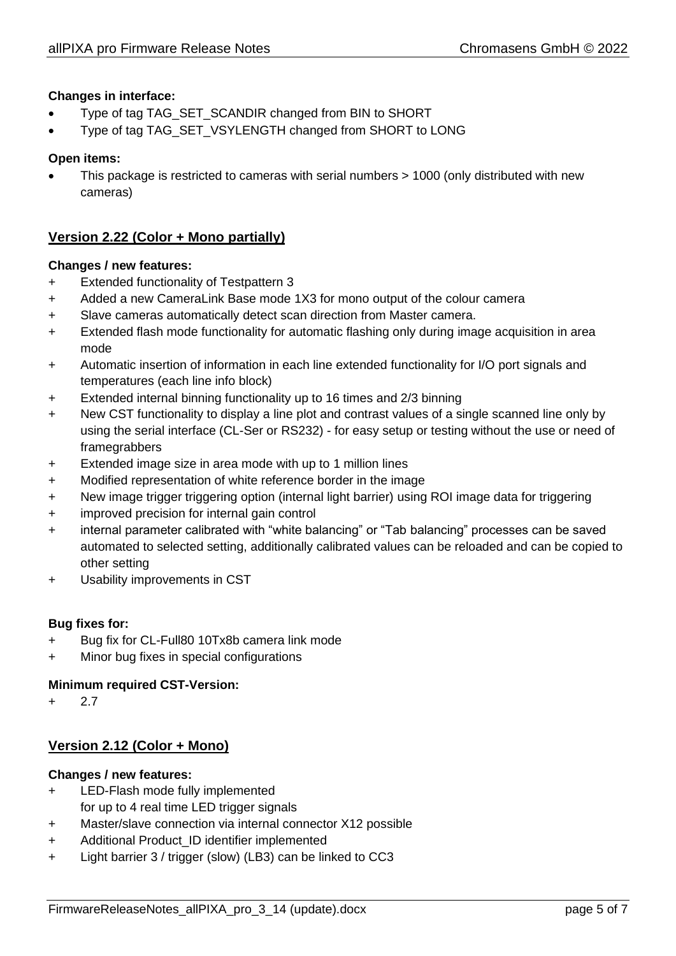## **Changes in interface:**

- Type of tag TAG\_SET\_SCANDIR changed from BIN to SHORT
- Type of tag TAG\_SET\_VSYLENGTH changed from SHORT to LONG

### **Open items:**

• This package is restricted to cameras with serial numbers > 1000 (only distributed with new cameras)

# **Version 2.22 (Color + Mono partially)**

### **Changes / new features:**

- + Extended functionality of Testpattern 3
- + Added a new CameraLink Base mode 1X3 for mono output of the colour camera
- + Slave cameras automatically detect scan direction from Master camera.
- + Extended flash mode functionality for automatic flashing only during image acquisition in area mode
- + Automatic insertion of information in each line extended functionality for I/O port signals and temperatures (each line info block)
- + Extended internal binning functionality up to 16 times and 2/3 binning
- + New CST functionality to display a line plot and contrast values of a single scanned line only by using the serial interface (CL-Ser or RS232) - for easy setup or testing without the use or need of framegrabbers
- + Extended image size in area mode with up to 1 million lines
- + Modified representation of white reference border in the image
- + New image trigger triggering option (internal light barrier) using ROI image data for triggering
- + improved precision for internal gain control
- + internal parameter calibrated with "white balancing" or "Tab balancing" processes can be saved automated to selected setting, additionally calibrated values can be reloaded and can be copied to other setting
- + Usability improvements in CST

### **Bug fixes for:**

- + Bug fix for CL-Full80 10Tx8b camera link mode
- + Minor bug fixes in special configurations

### **Minimum required CST-Version:**

+ 2.7

# **Version 2.12 (Color + Mono)**

### **Changes / new features:**

- + LED-Flash mode fully implemented for up to 4 real time LED trigger signals
- + Master/slave connection via internal connector X12 possible
- + Additional Product\_ID identifier implemented
- + Light barrier 3 / trigger (slow) (LB3) can be linked to CC3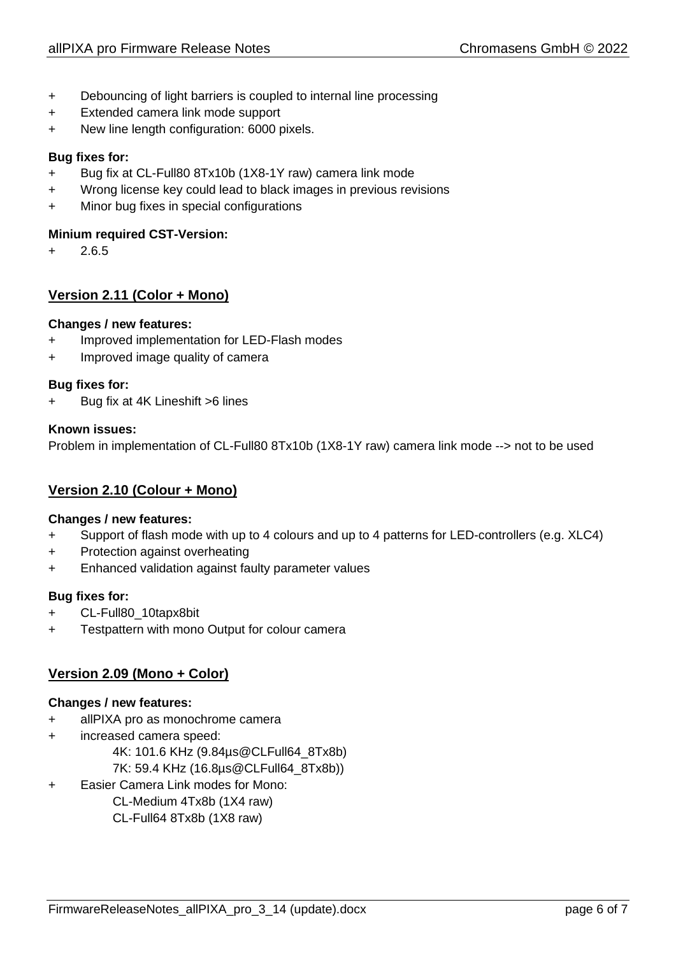- + Debouncing of light barriers is coupled to internal line processing
- + Extended camera link mode support
- + New line length configuration: 6000 pixels.

### **Bug fixes for:**

- + Bug fix at CL-Full80 8Tx10b (1X8-1Y raw) camera link mode
- + Wrong license key could lead to black images in previous revisions
- + Minor bug fixes in special configurations

### **Minium required CST-Version:**

+ 2.6.5

# **Version 2.11 (Color + Mono)**

### **Changes / new features:**

- + Improved implementation for LED-Flash modes
- + Improved image quality of camera

### **Bug fixes for:**

+ Bug fix at 4K Lineshift >6 lines

### **Known issues:**

Problem in implementation of CL-Full80 8Tx10b (1X8-1Y raw) camera link mode --> not to be used

# **Version 2.10 (Colour + Mono)**

### **Changes / new features:**

- + Support of flash mode with up to 4 colours and up to 4 patterns for LED-controllers (e.g. XLC4)
- + Protection against overheating
- + Enhanced validation against faulty parameter values

### **Bug fixes for:**

- + CL-Full80\_10tapx8bit
- + Testpattern with mono Output for colour camera

# **Version 2.09 (Mono + Color)**

### **Changes / new features:**

- + allPIXA pro as monochrome camera
- + increased camera speed:
	- 4K: 101.6 KHz (9.84µs@CLFull64\_8Tx8b)
	- 7K: 59.4 KHz (16.8µs@CLFull64\_8Tx8b))
- + Easier Camera Link modes for Mono:
	- CL-Medium 4Tx8b (1X4 raw) CL-Full64 8Tx8b (1X8 raw)